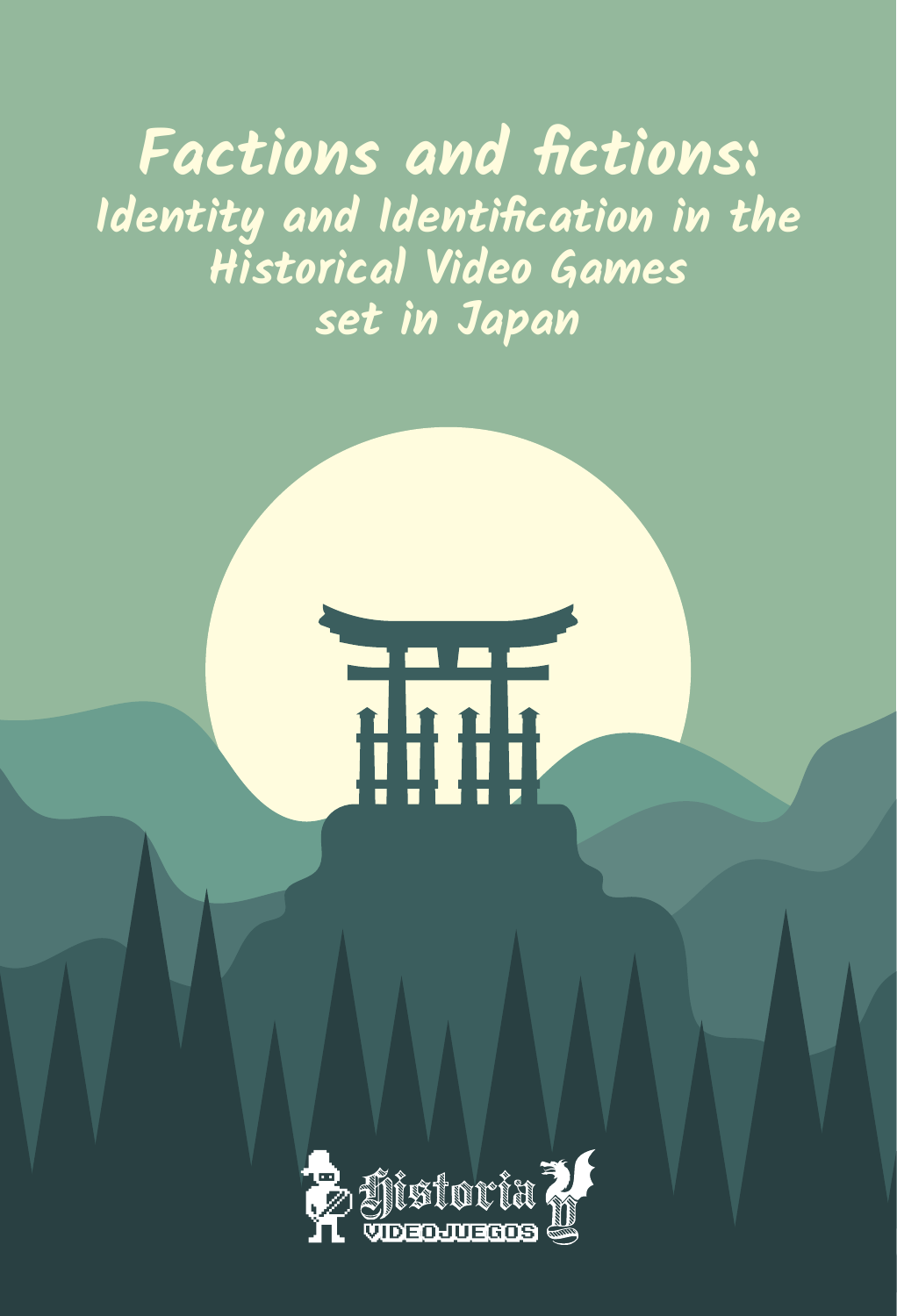# **Factions and fictions: Identity and Identification in the Historical Video Games set in Japan**

THE

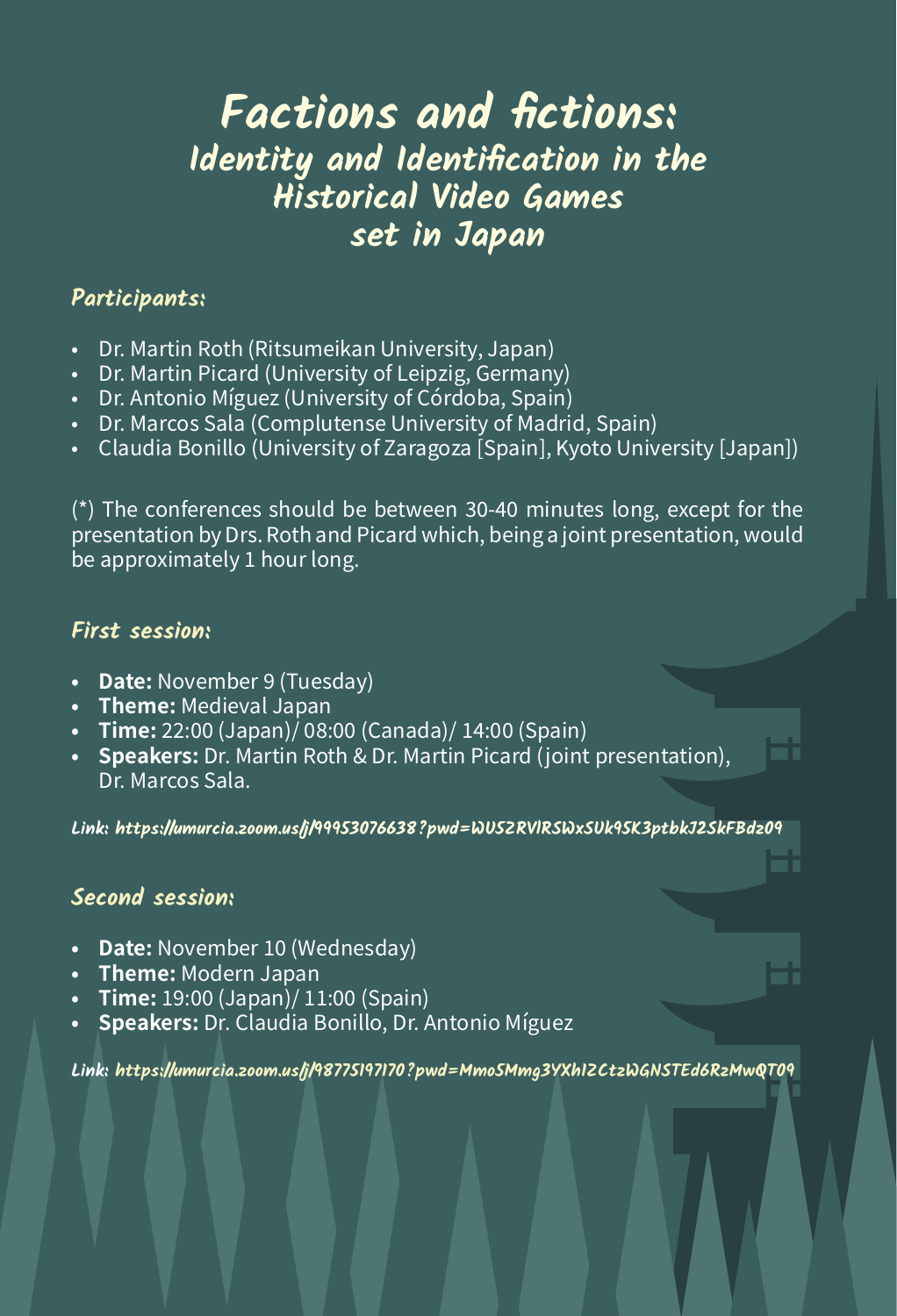# **Factions and fictions: Identity and Identification in the Historical Video Games set in Japan**

#### **Participants:**

- Dr. Martin Roth (Ritsumeikan University, Japan)
- Dr. Martin Picard (University of Leipzig, Germany)
- Dr. Antonio Míguez (University of Córdoba, Spain)
- Dr. Marcos Sala (Complutense University of Madrid, Spain)
- • Claudia Bonillo (University of Zaragoza [Spain], Kyoto University [Japan])

(\*) The conferences should be between 30-40 minutes long, except for the presentation by Drs. Roth and Picard which, being a joint presentation, would be approximately 1 hour long.

#### **First session:**

- **• Date:** November 9 (Tuesday)
- **Theme:** Medieval Japan
- **• Time:** 22:00 (Japan)/ 08:00 (Canada)/ 14:00 (Spain)
- **• Speakers:** Dr. Martin Roth & Dr. Martin Picard (joint presentation), Dr. Marcos Sala.

**Link: [https://umurcia.zoom.us/j/99953076638?pwd=WU5ZRVlRSWxSUk95K3ptbkJ2SkFBdz09](https://umurcia.zoom.us/j/99953076638?pwd=WU5ZRVlRSWxSUk95K3ptbkJ2SkFBdz09
)**

#### **Second session:**

- **Date:** November 10 (Wednesday)
- **Theme:** Modern Japan
- **• Time:** 19:00 (Japan)/ 11:00 (Spain)
- **Speakers:** Dr. Claudia Bonillo, Dr. Antonio Míguez

**Link:<https://umurcia.zoom.us/j/98775197170?pwd=Mmo5Mmg3YXh1ZCtzWGNSTEd6RzMwQT09>**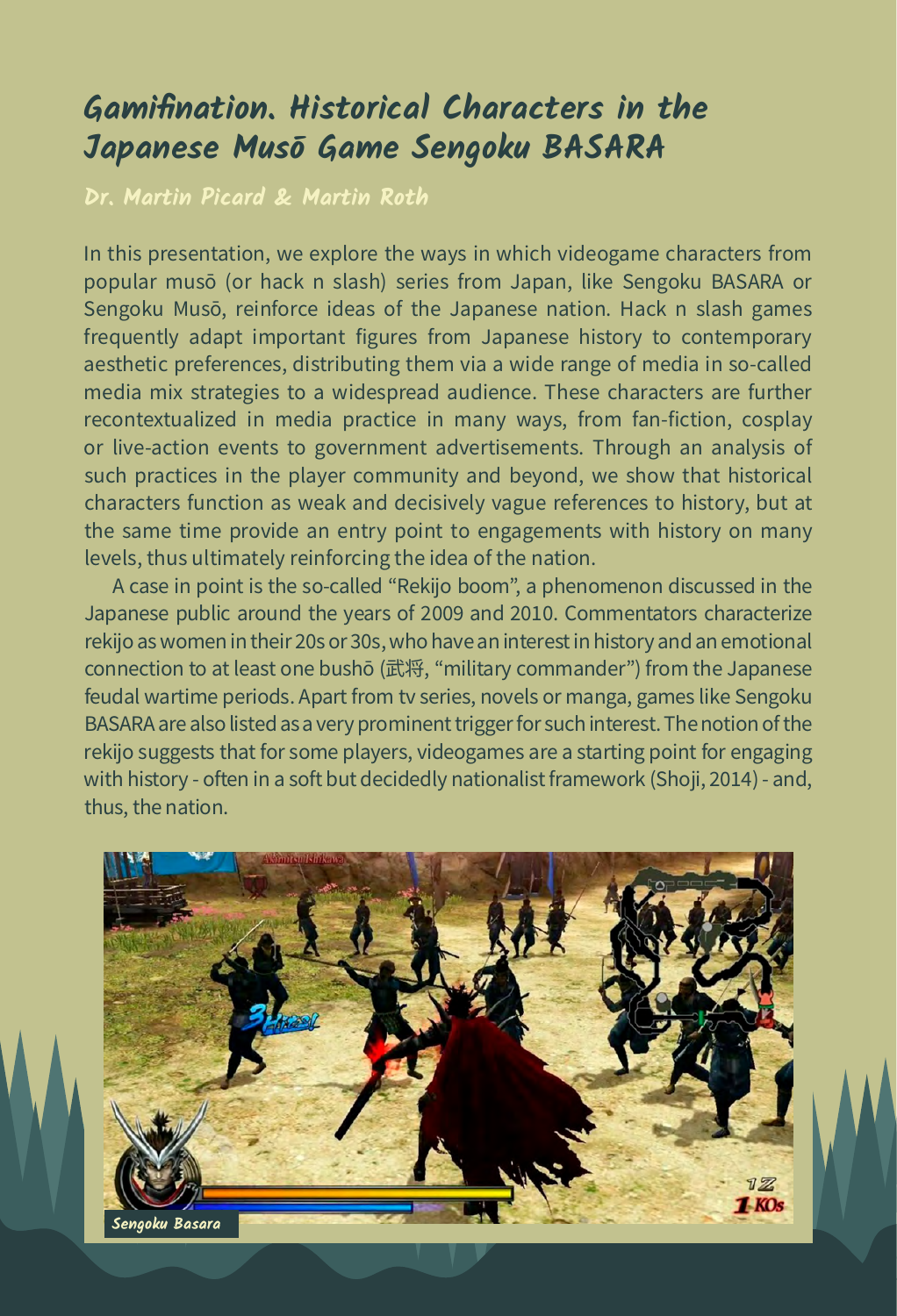# **Gamifination. Historical Characters in the Japanese Musō Game Sengoku BASARA**

**Dr. Martin Picard & Martin Roth**

In this presentation, we explore the ways in which videogame characters from popular musō (or hack n slash) series from Japan, like Sengoku BASARA or Sengoku Musō, reinforce ideas of the Japanese nation. Hack n slash games frequently adapt important figures from Japanese history to contemporary aesthetic preferences, distributing them via a wide range of media in so-called media mix strategies to a widespread audience. These characters are further recontextualized in media practice in many ways, from fan-fiction, cosplay or live-action events to government advertisements. Through an analysis of such practices in the player community and beyond, we show that historical characters function as weak and decisively vague references to history, but at the same time provide an entry point to engagements with history on many levels, thus ultimately reinforcing the idea of the nation.

A case in point is the so-called "Rekijo boom", a phenomenon discussed in the Japanese public around the years of 2009 and 2010. Commentators characterize rekijo as women in their 20s or 30s, who have an interest in history and an emotional connection to at least one bushō (武将, "military commander") from the Japanese feudal wartime periods. Apart from tv series, novels or manga, games like Sengoku BASARA are also listed as a very prominent trigger for such interest. The notion of the rekijo suggests that for some players, videogames are a starting point for engaging with history - often in a soft but decidedly nationalist framework (Shoji, 2014) - and, thus, the nation.

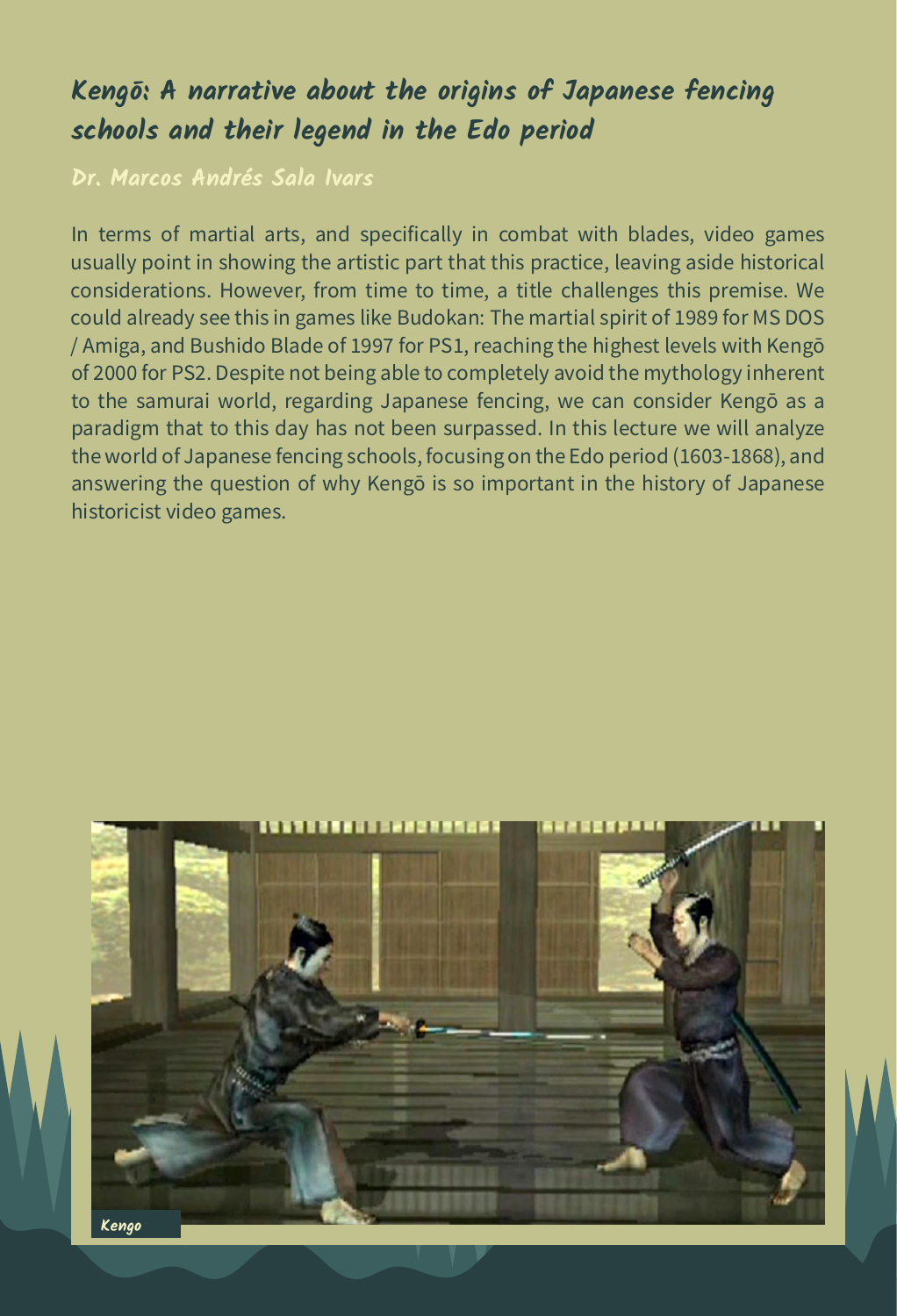# **Kengō: A narrative about the origins of Japanese fencing schools and their legend in the Edo period**

**Dr. Marcos Andrés Sala Ivars**

In terms of martial arts, and specifically in combat with blades, video games usually point in showing the artistic part that this practice, leaving aside historical considerations. However, from time to time, a title challenges this premise. We could already see this in games like Budokan: The martial spirit of 1989 for MS DOS / Amiga, and Bushido Blade of 1997 for PS1, reaching the highest levels with Kengō of 2000 for PS2. Despite not being able to completely avoid the mythology inherent to the samurai world, regarding Japanese fencing, we can consider Kengō as a paradigm that to this day has not been surpassed. In this lecture we will analyze the world of Japanese fencing schools, focusing on the Edo period (1603-1868), and answering the question of why Kengō is so important in the history of Japanese historicist video games.

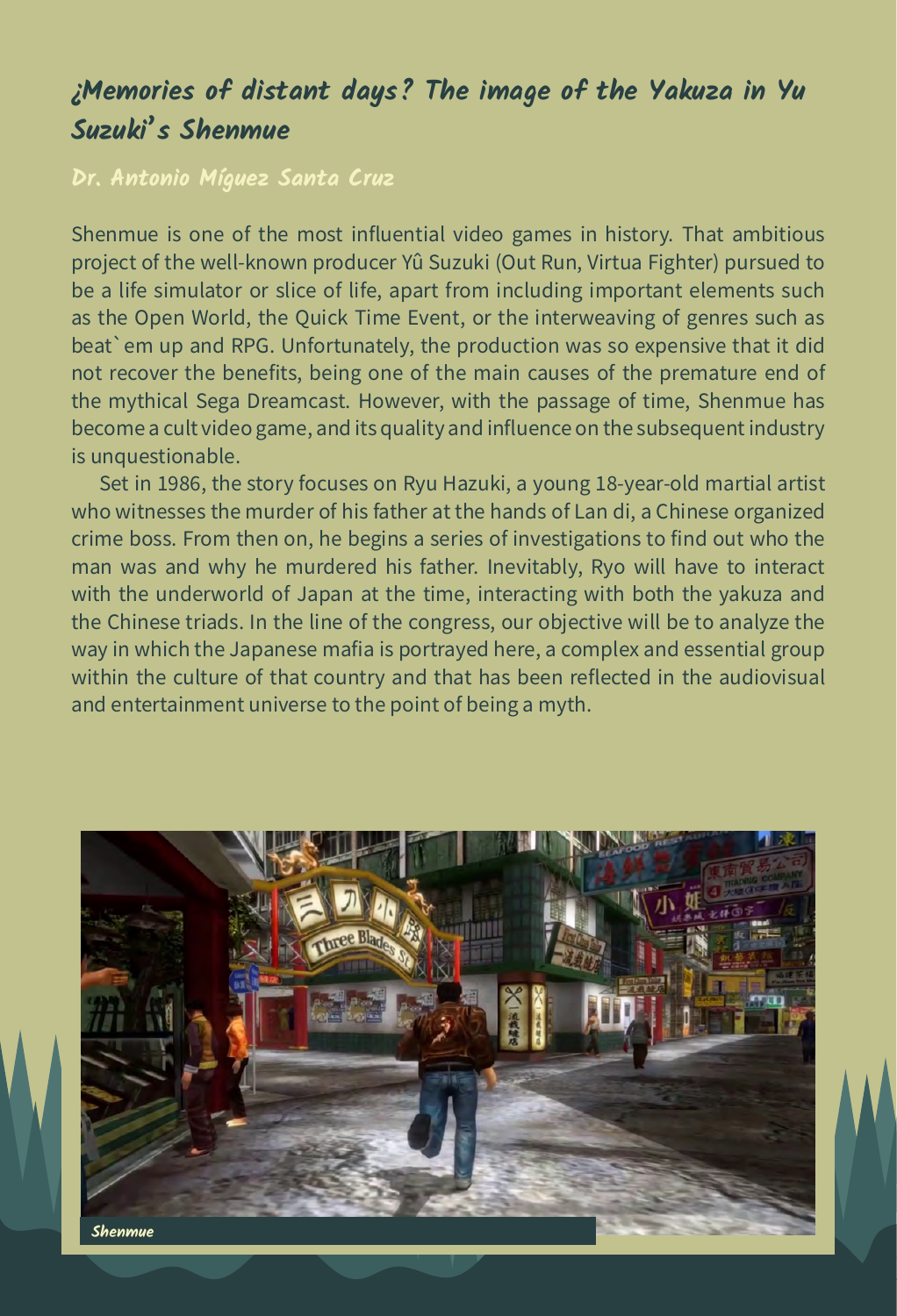# **¿Memories of distant days? The image of the Yakuza in Yu Suzuki's Shenmue**

#### **Dr. Antonio Míguez Santa Cruz**

Shenmue is one of the most influential video games in history. That ambitious project of the well-known producer Yû Suzuki (Out Run, Virtua Fighter) pursued to be a life simulator or slice of life, apart from including important elements such as the Open World, the Quick Time Event, or the interweaving of genres such as beat`em up and RPG. Unfortunately, the production was so expensive that it did not recover the benefits, being one of the main causes of the premature end of the mythical Sega Dreamcast. However, with the passage of time, Shenmue has become a cult video game, and its quality and influence on the subsequent industry is unquestionable.

Set in 1986, the story focuses on Ryu Hazuki, a young 18-year-old martial artist who witnesses the murder of his father at the hands of Lan di, a Chinese organized crime boss. From then on, he begins a series of investigations to find out who the man was and why he murdered his father. Inevitably, Ryo will have to interact with the underworld of Japan at the time, interacting with both the yakuza and the Chinese triads. In the line of the congress, our objective will be to analyze the way in which the Japanese mafia is portrayed here, a complex and essential group within the culture of that country and that has been reflected in the audiovisual and entertainment universe to the point of being a myth.

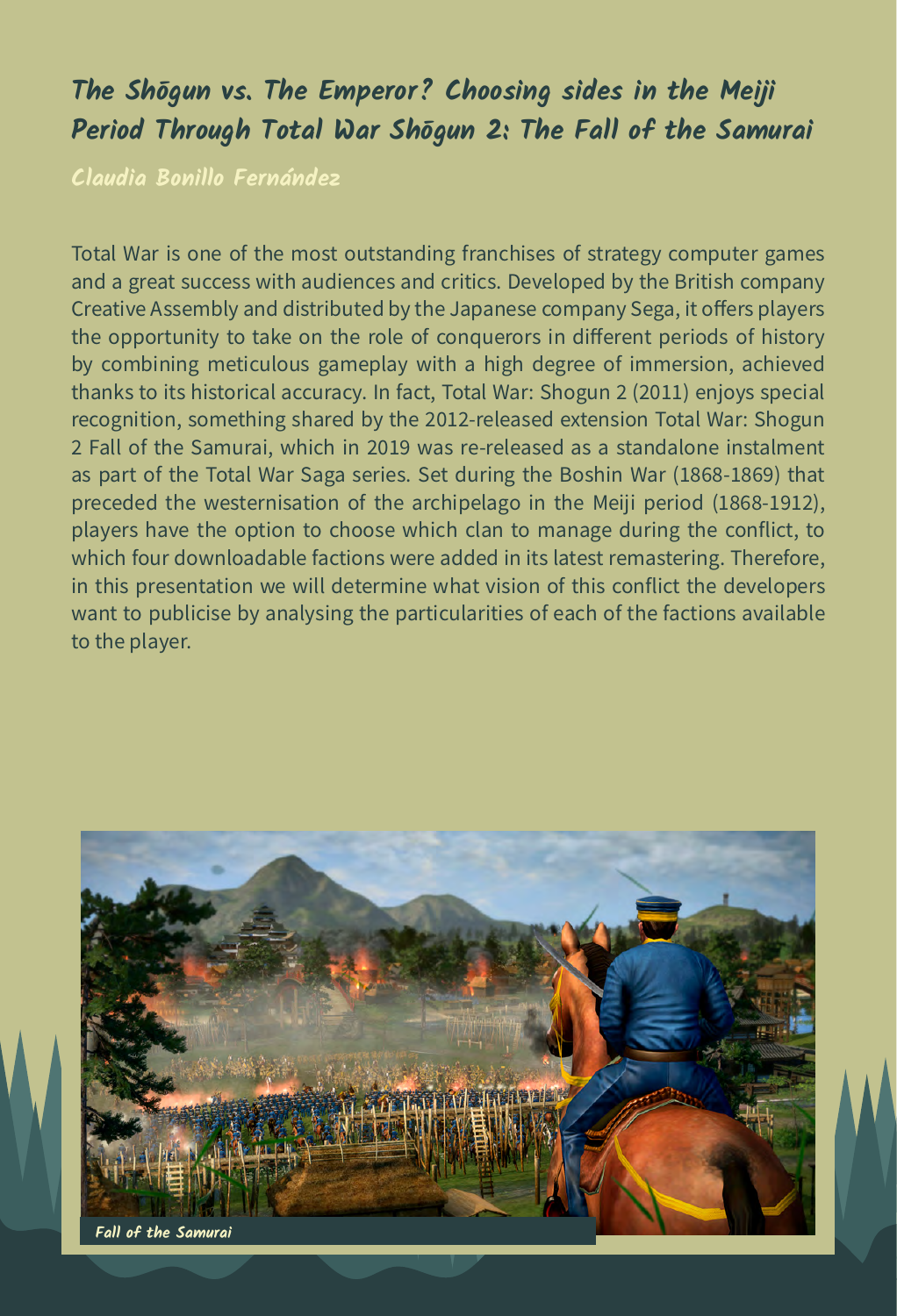# **The Shōgun vs. The Emperor? Choosing sides in the Meiji Period Through Total War Shōgun 2: The Fall of the Samurai**

**Claudia Bonillo Fernández**

Total War is one of the most outstanding franchises of strategy computer games and a great success with audiences and critics. Developed by the British company Creative Assembly and distributed by the Japanese company Sega, it offers players the opportunity to take on the role of conquerors in different periods of history by combining meticulous gameplay with a high degree of immersion, achieved thanks to its historical accuracy. In fact, Total War: Shogun 2 (2011) enjoys special recognition, something shared by the 2012-released extension Total War: Shogun 2 Fall of the Samurai, which in 2019 was re-released as a standalone instalment as part of the Total War Saga series. Set during the Boshin War (1868-1869) that preceded the westernisation of the archipelago in the Meiji period (1868-1912), players have the option to choose which clan to manage during the conflict, to which four downloadable factions were added in its latest remastering. Therefore, in this presentation we will determine what vision of this conflict the developers want to publicise by analysing the particularities of each of the factions available to the player.

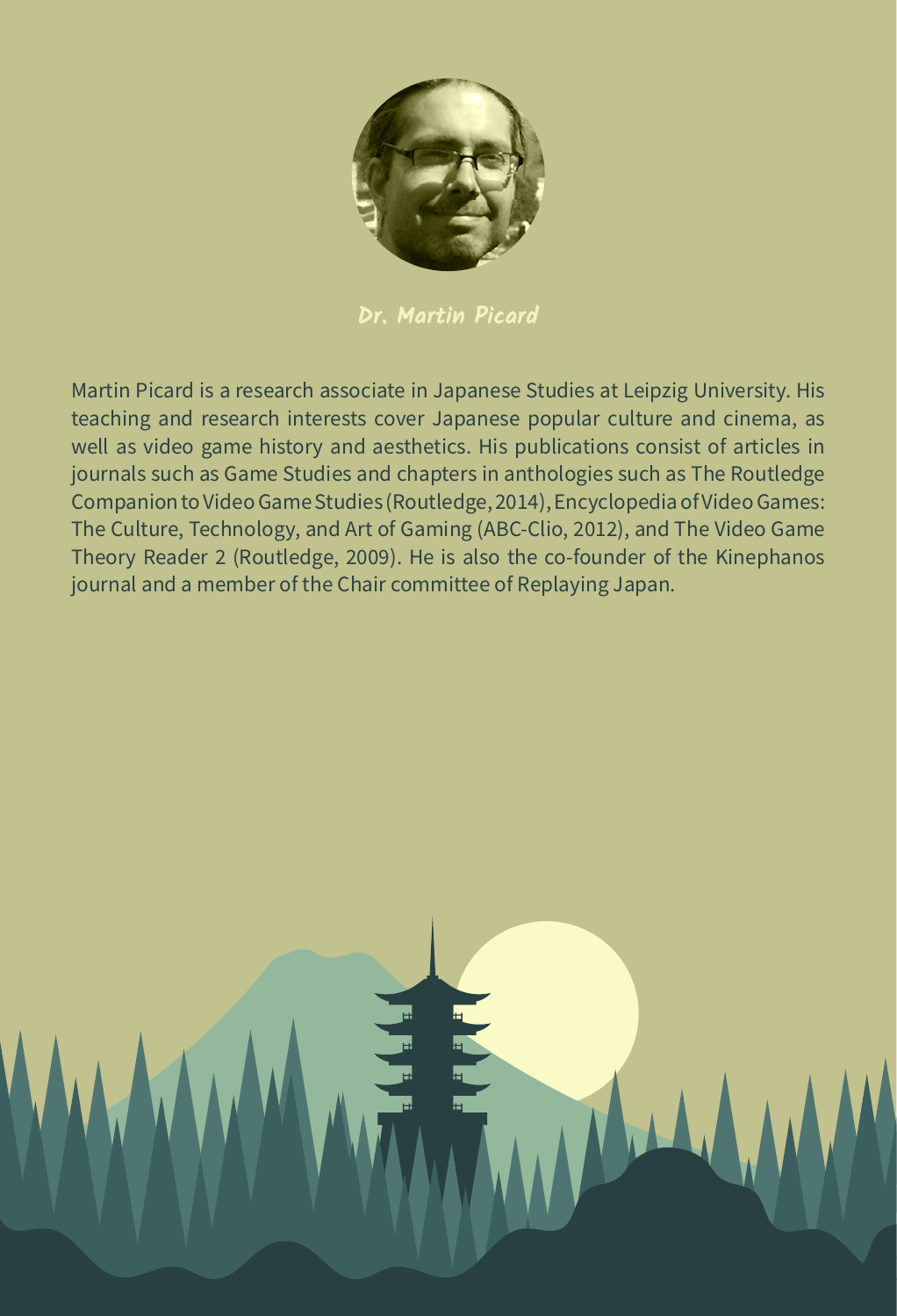

**Dr. Martin Picard**

Martin Picard is a research associate in Japanese Studies at Leipzig University. His teaching and research interests cover Japanese popular culture and cinema, as well as video game history and aesthetics. His publications consist of articles in journals such as Game Studies and chapters in anthologies such as The Routledge Companion to Video Game Studies (Routledge, 2014), Encyclopedia of Video Games: The Culture, Technology, and Art of Gaming (ABC-Clio, 2012), and The Video Game Theory Reader 2 (Routledge, 2009). He is also the co-founder of the Kinephanos journal and a member of the Chair committee of Replaying Japan.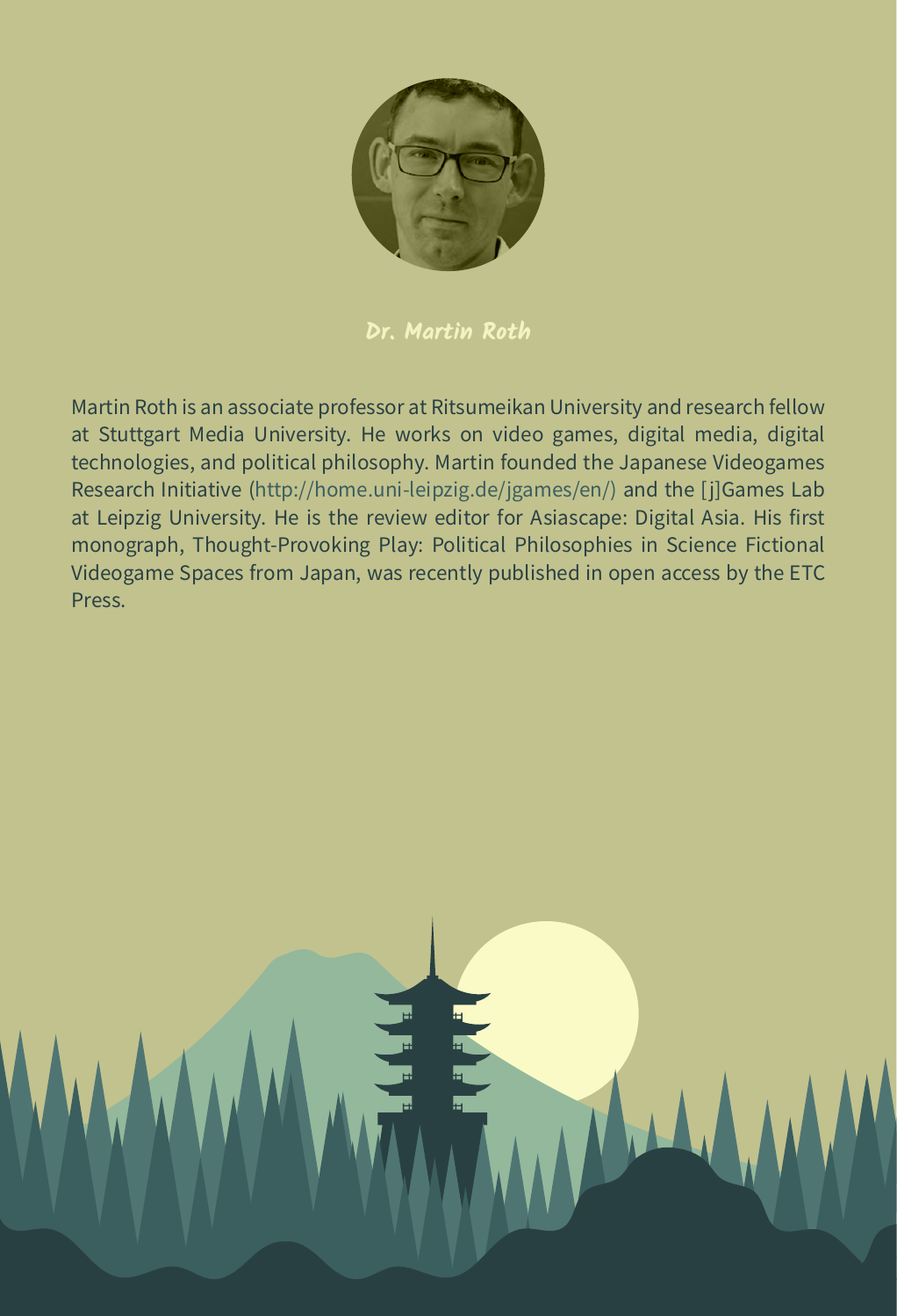

#### **Dr. Martin Roth**

Martin Roth is an associate professor at Ritsumeikan University and research fellow at Stuttgart Media University. He works on video games, digital media, digital technologies, and political philosophy. Martin founded the Japanese Videogames Research Initiative [\(http://home.uni-leipzig.de/jgames/en/\)](http://home.uni-leipzig.de/jgames/en/) and the [j]Games Lab at Leipzig University. He is the review editor for Asiascape: Digital Asia. His first monograph, Thought-Provoking Play: Political Philosophies in Science Fictional Videogame Spaces from Japan, was recently published in open access by the ETC Press.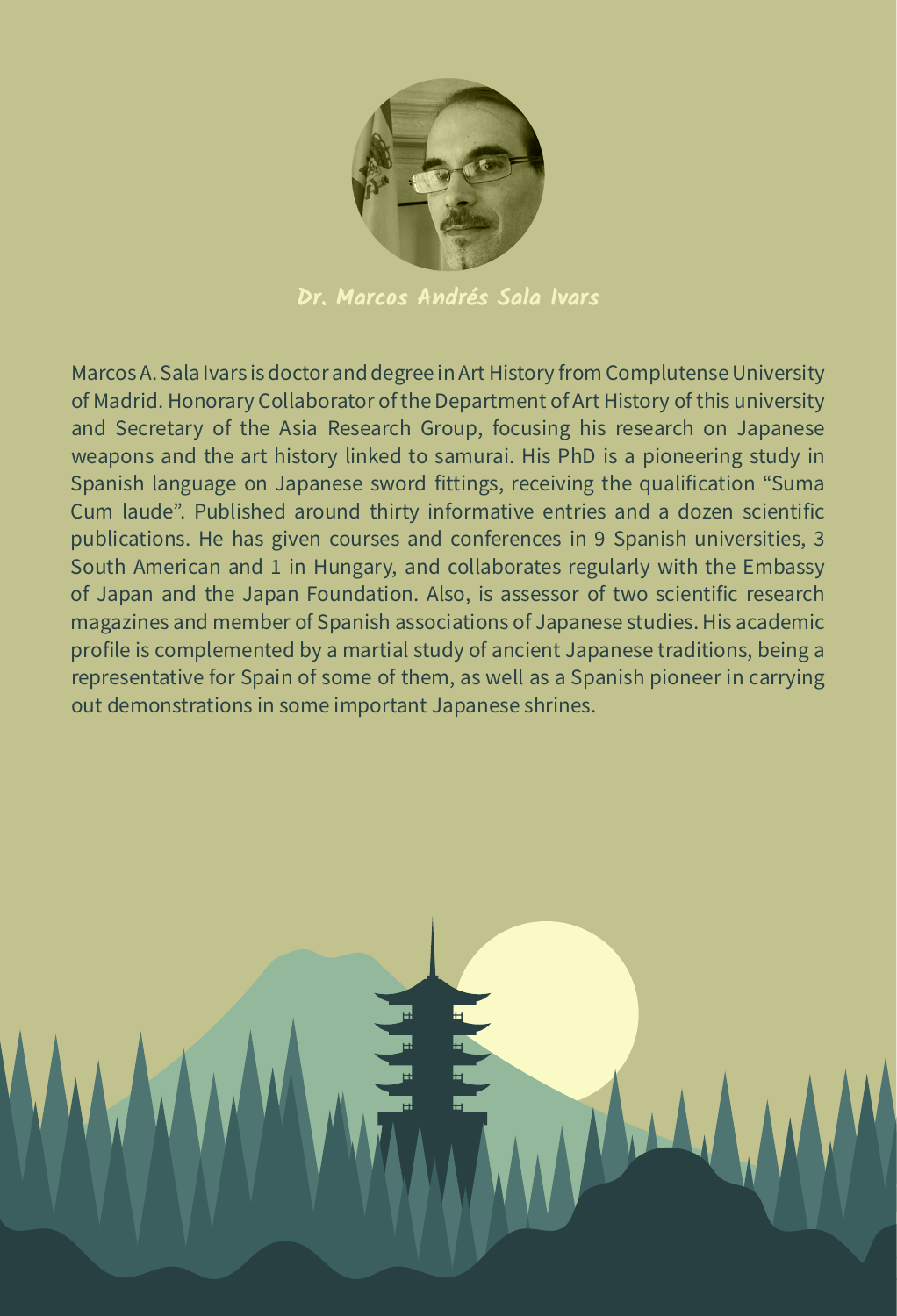

**Dr. Marcos Andrés Sala Ivars**

Marcos A. Sala Ivars is doctor and degree in Art History from Complutense University of Madrid. Honorary Collaborator of the Department of Art History of this university and Secretary of the Asia Research Group, focusing his research on Japanese weapons and the art history linked to samurai. His PhD is a pioneering study in Spanish language on Japanese sword fittings, receiving the qualification "Suma Cum laude". Published around thirty informative entries and a dozen scientific publications. He has given courses and conferences in 9 Spanish universities, 3 South American and 1 in Hungary, and collaborates regularly with the Embassy of Japan and the Japan Foundation. Also, is assessor of two scientific research magazines and member of Spanish associations of Japanese studies. His academic profile is complemented by a martial study of ancient Japanese traditions, being a representative for Spain of some of them, as well as a Spanish pioneer in carrying out demonstrations in some important Japanese shrines.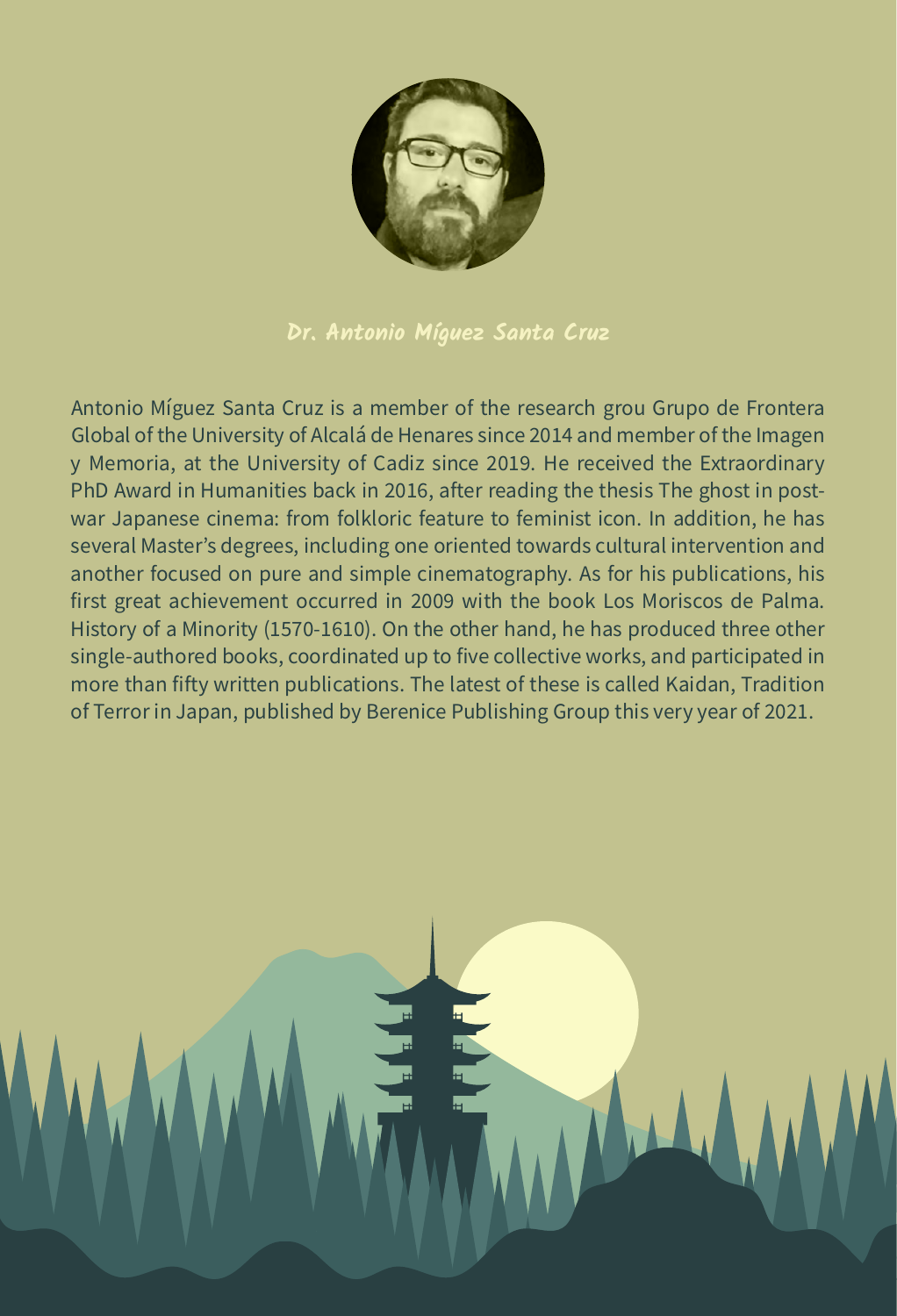

**Dr. Antonio Míguez Santa Cruz**

Antonio Míguez Santa Cruz is a member of the research grou Grupo de Frontera Global of the University of Alcalá de Henares since 2014 and member of the Imagen y Memoria, at the University of Cadiz since 2019. He received the Extraordinary PhD Award in Humanities back in 2016, after reading the thesis The ghost in postwar Japanese cinema: from folkloric feature to feminist icon. In addition, he has several Master's degrees, including one oriented towards cultural intervention and another focused on pure and simple cinematography. As for his publications, his first great achievement occurred in 2009 with the book Los Moriscos de Palma. History of a Minority (1570-1610). On the other hand, he has produced three other single-authored books, coordinated up to five collective works, and participated in more than fifty written publications. The latest of these is called Kaidan, Tradition of Terror in Japan, published by Berenice Publishing Group this very year of 2021.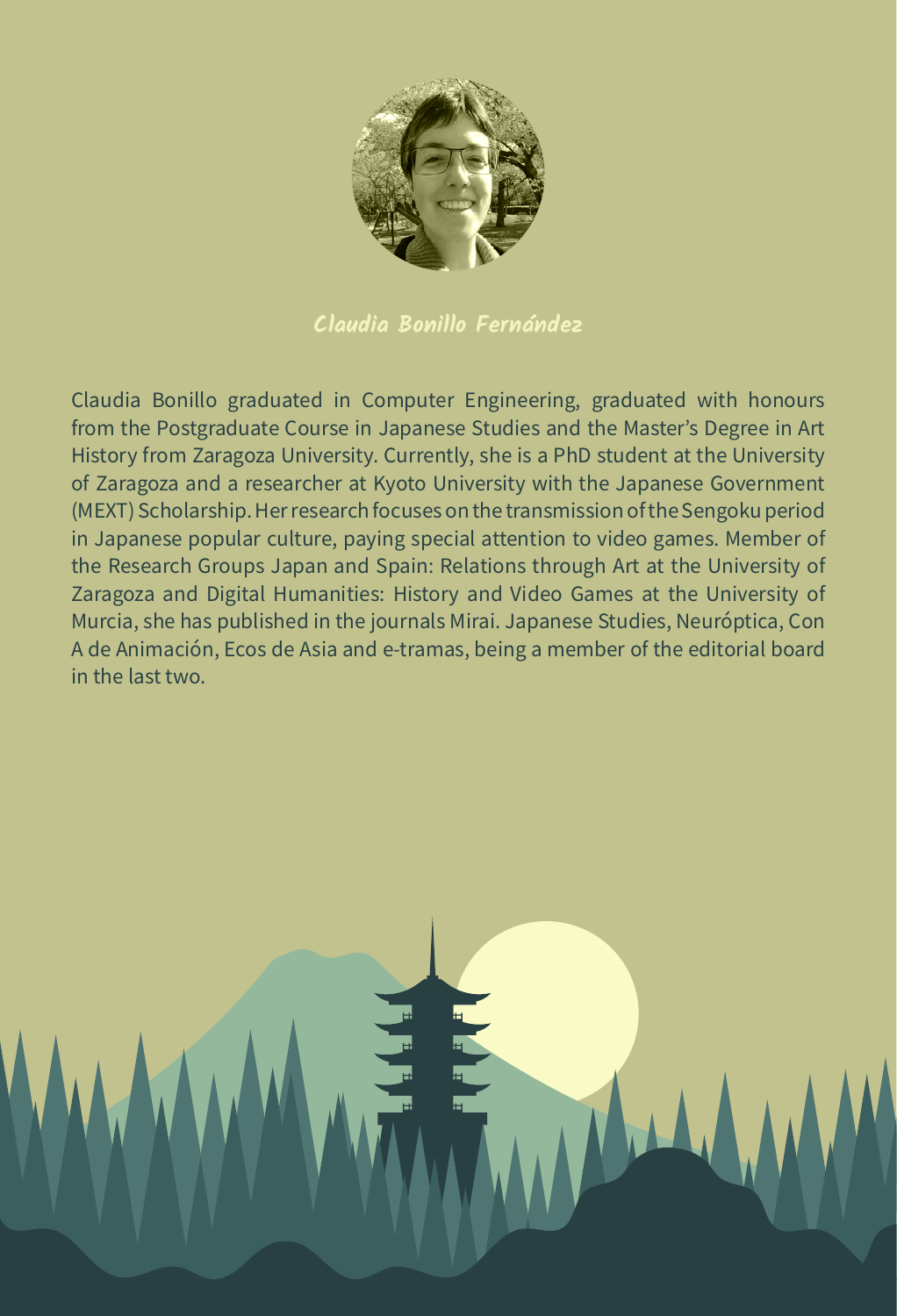

**Claudia Bonillo Fernández**

Claudia Bonillo graduated in Computer Engineering, graduated with honours from the Postgraduate Course in Japanese Studies and the Master's Degree in Art History from Zaragoza University. Currently, she is a PhD student at the University of Zaragoza and a researcher at Kyoto University with the Japanese Government (MEXT) Scholarship. Her research focuses on the transmission of the Sengoku period in Japanese popular culture, paying special attention to video games. Member of the Research Groups Japan and Spain: Relations through Art at the University of Zaragoza and Digital Humanities: History and Video Games at the University of Murcia, she has published in the journals Mirai. Japanese Studies, Neuróptica, Con A de Animación, Ecos de Asia and e-tramas, being a member of the editorial board in the last two.